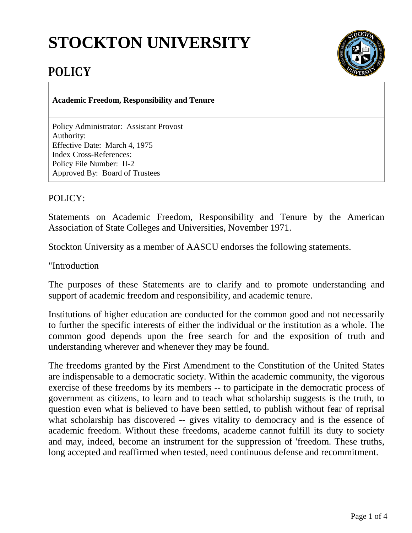## **STOCKTON UNIVERSITY**



## **POLICY**

**Academic Freedom, Responsibility and Tenure**

Policy Administrator: Assistant Provost Authority: Effective Date: March 4, 1975 Index Cross-References: Policy File Number: II-2 Approved By: Board of Trustees

POLICY:

Statements on Academic Freedom, Responsibility and Tenure by the American Association of State Colleges and Universities, November 1971.

Stockton University as a member of AASCU endorses the following statements.

"Introduction

The purposes of these Statements are to clarify and to promote understanding and support of academic freedom and responsibility, and academic tenure.

Institutions of higher education are conducted for the common good and not necessarily to further the specific interests of either the individual or the institution as a whole. The common good depends upon the free search for and the exposition of truth and understanding wherever and whenever they may be found.

The freedoms granted by the First Amendment to the Constitution of the United States are indispensable to a democratic society. Within the academic community, the vigorous exercise of these freedoms by its members -- to participate in the democratic process of government as citizens, to learn and to teach what scholarship suggests is the truth, to question even what is believed to have been settled, to publish without fear of reprisal what scholarship has discovered -- gives vitality to democracy and is the essence of academic freedom. Without these freedoms, academe cannot fulfill its duty to society and may, indeed, become an instrument for the suppression of 'freedom. These truths, long accepted and reaffirmed when tested, need continuous defense and recommitment.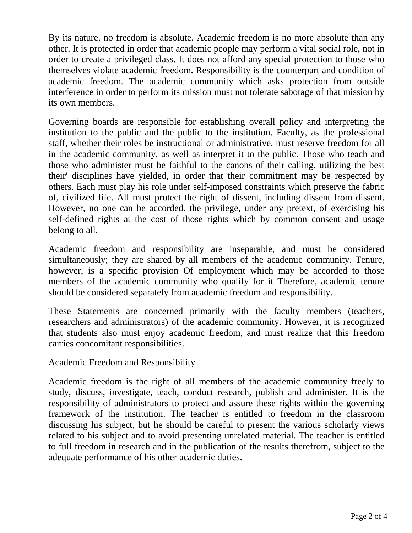By its nature, no freedom is absolute. Academic freedom is no more absolute than any other. It is protected in order that academic people may perform a vital social role, not in order to create a privileged class. It does not afford any special protection to those who themselves violate academic freedom. Responsibility is the counterpart and condition of academic freedom. The academic community which asks protection from outside interference in order to perform its mission must not tolerate sabotage of that mission by its own members.

Governing boards are responsible for establishing overall policy and interpreting the institution to the public and the public to the institution. Faculty, as the professional staff, whether their roles be instructional or administrative, must reserve freedom for all in the academic community, as well as interpret it to the public. Those who teach and those who administer must be faithful to the canons of their calling, utilizing the best their' disciplines have yielded, in order that their commitment may be respected by others. Each must play his role under self-imposed constraints which preserve the fabric of, civilized life. All must protect the right of dissent, including dissent from dissent. However, no one can be accorded. the privilege, under any pretext, of exercising his self-defined rights at the cost of those rights which by common consent and usage belong to all.

Academic freedom and responsibility are inseparable, and must be considered simultaneously; they are shared by all members of the academic community. Tenure, however, is a specific provision Of employment which may be accorded to those members of the academic community who qualify for it Therefore, academic tenure should be considered separately from academic freedom and responsibility.

These Statements are concerned primarily with the faculty members (teachers, researchers and administrators) of the academic community. However, it is recognized that students also must enjoy academic freedom, and must realize that this freedom carries concomitant responsibilities.

Academic Freedom and Responsibility

Academic freedom is the right of all members of the academic community freely to study, discuss, investigate, teach, conduct research, publish and administer. It is the responsibility of administrators to protect and assure these rights within the governing framework of the institution. The teacher is entitled to freedom in the classroom discussing his subject, but he should be careful to present the various scholarly views related to his subject and to avoid presenting unrelated material. The teacher is entitled to full freedom in research and in the publication of the results therefrom, subject to the adequate performance of his other academic duties.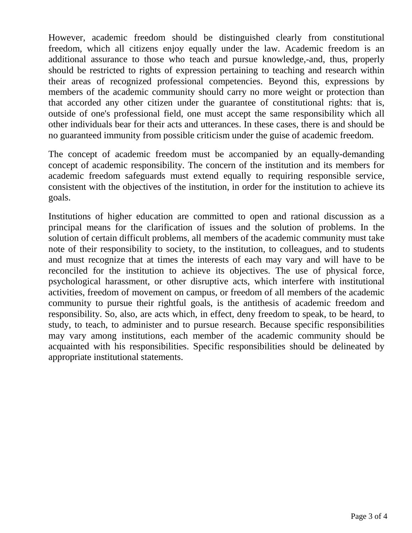However, academic freedom should be distinguished clearly from constitutional freedom, which all citizens enjoy equally under the law. Academic freedom is an additional assurance to those who teach and pursue knowledge,-and, thus, properly should be restricted to rights of expression pertaining to teaching and research within their areas of recognized professional competencies. Beyond this, expressions by members of the academic community should carry no more weight or protection than that accorded any other citizen under the guarantee of constitutional rights: that is, outside of one's professional field, one must accept the same responsibility which all other individuals bear for their acts and utterances. In these cases, there is and should be no guaranteed immunity from possible criticism under the guise of academic freedom.

The concept of academic freedom must be accompanied by an equally-demanding concept of academic responsibility. The concern of the institution and its members for academic freedom safeguards must extend equally to requiring responsible service, consistent with the objectives of the institution, in order for the institution to achieve its goals.

Institutions of higher education are committed to open and rational discussion as a principal means for the clarification of issues and the solution of problems. In the solution of certain difficult problems, all members of the academic community must take note of their responsibility to society, to the institution, to colleagues, and to students and must recognize that at times the interests of each may vary and will have to be reconciled for the institution to achieve its objectives. The use of physical force, psychological harassment, or other disruptive acts, which interfere with institutional activities, freedom of movement on campus, or freedom of all members of the academic community to pursue their rightful goals, is the antithesis of academic freedom and responsibility. So, also, are acts which, in effect, deny freedom to speak, to be heard, to study, to teach, to administer and to pursue research. Because specific responsibilities may vary among institutions, each member of the academic community should be acquainted with his responsibilities. Specific responsibilities should be delineated by appropriate institutional statements.